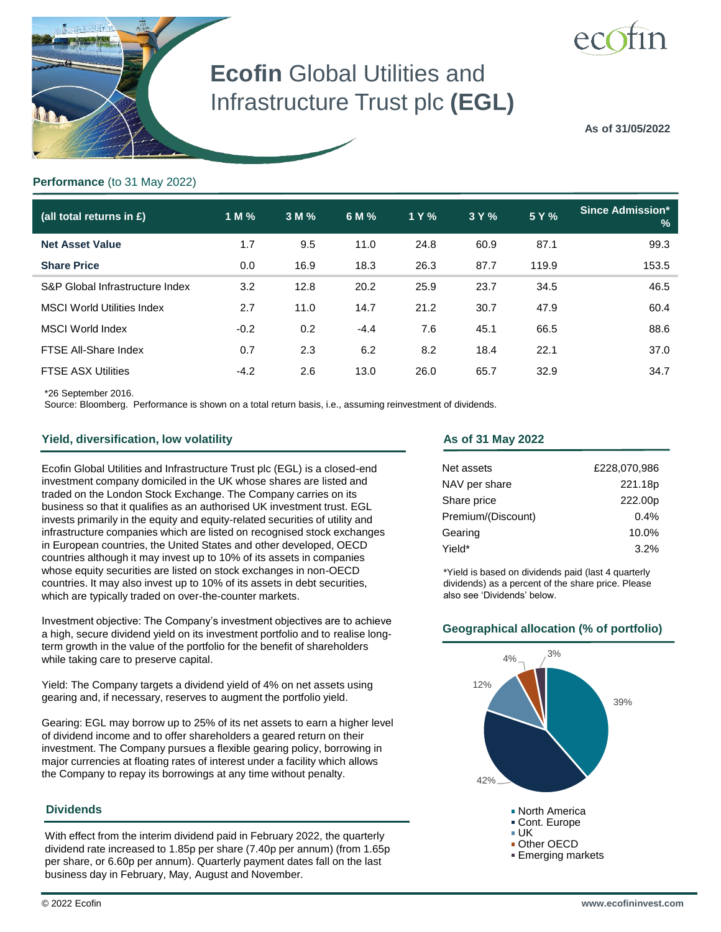

# **Ecofin** Global Utilities and Infrastructure Trust plc **(EGL)**

**As of 31/05/2022**

### **Performance** (to 31 May 2022)

| (all total returns in £)          | 1 M %  | 3 M % | 6 M %  | 1 Y % | 3 Y % | 5 Y % | <b>Since Admission*</b><br>% |
|-----------------------------------|--------|-------|--------|-------|-------|-------|------------------------------|
| <b>Net Asset Value</b>            | 1.7    | 9.5   | 11.0   | 24.8  | 60.9  | 87.1  | 99.3                         |
| <b>Share Price</b>                | 0.0    | 16.9  | 18.3   | 26.3  | 87.7  | 119.9 | 153.5                        |
| S&P Global Infrastructure Index   | 3.2    | 12.8  | 20.2   | 25.9  | 23.7  | 34.5  | 46.5                         |
| <b>MSCI World Utilities Index</b> | 2.7    | 11.0  | 14.7   | 21.2  | 30.7  | 47.9  | 60.4                         |
| <b>MSCI World Index</b>           | $-0.2$ | 0.2   | $-4.4$ | 7.6   | 45.1  | 66.5  | 88.6                         |
| FTSE All-Share Index              | 0.7    | 2.3   | 6.2    | 8.2   | 18.4  | 22.1  | 37.0                         |
| <b>FTSE ASX Utilities</b>         | $-4.2$ | 2.6   | 13.0   | 26.0  | 65.7  | 32.9  | 34.7                         |

\*26 September 2016.

Source: Bloomberg. Performance is shown on a total return basis, i.e., assuming reinvestment of dividends.

### **Yield, diversification, low volatility**

Ecofin Global Utilities and Infrastructure Trust plc (EGL) is a closed-end investment company domiciled in the UK whose shares are listed and traded on the London Stock Exchange. The Company carries on its business so that it qualifies as an authorised UK investment trust. EGL invests primarily in the equity and equity-related securities of utility and infrastructure companies which are listed on recognised stock exchanges in European countries, the United States and other developed, OECD countries although it may invest up to 10% of its assets in companies whose equity securities are listed on stock exchanges in non-OECD countries. It may also invest up to 10% of its assets in debt securities, which are typically traded on over-the-counter markets.

Investment objective: The Company's investment objectives are to achieve a high, secure dividend yield on its investment portfolio and to realise longterm growth in the value of the portfolio for the benefit of shareholders while taking care to preserve capital.

Yield: The Company targets a dividend yield of 4% on net assets using gearing and, if necessary, reserves to augment the portfolio yield.

Gearing: EGL may borrow up to 25% of its net assets to earn a higher level of dividend income and to offer shareholders a geared return on their investment. The Company pursues a flexible gearing policy, borrowing in major currencies at floating rates of interest under a facility which allows the Company to repay its borrowings at any time without penalty.

### **Dividends**

With effect from the interim dividend paid in February 2022, the quarterly dividend rate increased to 1.85p per share (7.40p per annum) (from 1.65p per share, or 6.60p per annum). Quarterly payment dates fall on the last business day in February, May, August and November.

#### **As of 31 May 2022**

| Net assets         | £228,070,986 |
|--------------------|--------------|
| NAV per share      | 221.18p      |
| Share price        | 222.00p      |
| Premium/(Discount) | 0.4%         |
| Gearing            | 10.0%        |
| *Yield             | 3.2%         |

\*Yield is based on dividends paid (last 4 quarterly dividends) as a percent of the share price. Please also see 'Dividends' below.

### **Geographical allocation (% of portfolio)**

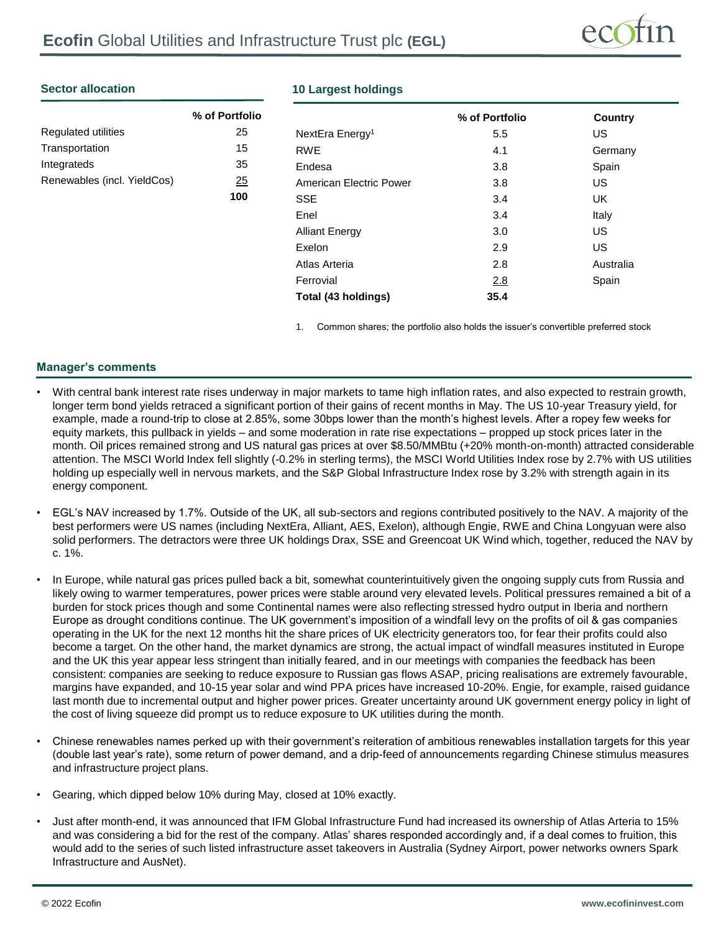

### **Sector allocation**

|                             | % of Portfolio |
|-----------------------------|----------------|
| <b>Regulated utilities</b>  | 25             |
| Transportation              | 15             |
| Integrateds                 | 35             |
| Renewables (incl. YieldCos) | 25             |
|                             | 1 U U          |

### **10 Largest holdings**

|                             | % of Portfolio | Country   |
|-----------------------------|----------------|-----------|
| NextEra Energy <sup>1</sup> | 5.5            | US        |
| <b>RWE</b>                  | 4.1            | Germany   |
| Endesa                      | 3.8            | Spain     |
| American Electric Power     | 3.8            | US        |
| SSE                         | 3.4            | UK        |
| Enel                        | 3.4            | Italy     |
| <b>Alliant Energy</b>       | 3.0            | US.       |
| Exelon                      | 2.9            | US.       |
| Atlas Arteria               | 2.8            | Australia |
| Ferrovial                   | 2.8            | Spain     |
| Total (43 holdings)         | 35.4           |           |

1. Common shares; the portfolio also holds the issuer's convertible preferred stock

### **Manager's comments**

- With central bank interest rate rises underway in major markets to tame high inflation rates, and also expected to restrain growth, longer term bond yields retraced a significant portion of their gains of recent months in May. The US 10-year Treasury yield, for example, made a round-trip to close at 2.85%, some 30bps lower than the month's highest levels. After a ropey few weeks for equity markets, this pullback in yields – and some moderation in rate rise expectations – propped up stock prices later in the month. Oil prices remained strong and US natural gas prices at over \$8.50/MMBtu (+20% month-on-month) attracted considerable attention. The MSCI World Index fell slightly (-0.2% in sterling terms), the MSCI World Utilities Index rose by 2.7% with US utilities holding up especially well in nervous markets, and the S&P Global Infrastructure Index rose by 3.2% with strength again in its energy component.
- EGL's NAV increased by 1.7%. Outside of the UK, all sub-sectors and regions contributed positively to the NAV. A majority of the best performers were US names (including NextEra, Alliant, AES, Exelon), although Engie, RWE and China Longyuan were also solid performers. The detractors were three UK holdings Drax, SSE and Greencoat UK Wind which, together, reduced the NAV by c. 1%.
- In Europe, while natural gas prices pulled back a bit, somewhat counterintuitively given the ongoing supply cuts from Russia and likely owing to warmer temperatures, power prices were stable around very elevated levels. Political pressures remained a bit of a burden for stock prices though and some Continental names were also reflecting stressed hydro output in Iberia and northern Europe as drought conditions continue. The UK government's imposition of a windfall levy on the profits of oil & gas companies operating in the UK for the next 12 months hit the share prices of UK electricity generators too, for fear their profits could also become a target. On the other hand, the market dynamics are strong, the actual impact of windfall measures instituted in Europe and the UK this year appear less stringent than initially feared, and in our meetings with companies the feedback has been consistent: companies are seeking to reduce exposure to Russian gas flows ASAP, pricing realisations are extremely favourable, margins have expanded, and 10-15 year solar and wind PPA prices have increased 10-20%. Engie, for example, raised guidance last month due to incremental output and higher power prices. Greater uncertainty around UK government energy policy in light of the cost of living squeeze did prompt us to reduce exposure to UK utilities during the month.
- Chinese renewables names perked up with their government's reiteration of ambitious renewables installation targets for this year (double last year's rate), some return of power demand, and a drip-feed of announcements regarding Chinese stimulus measures and infrastructure project plans.
- Gearing, which dipped below 10% during May, closed at 10% exactly.
- Just after month-end, it was announced that IFM Global Infrastructure Fund had increased its ownership of Atlas Arteria to 15% and was considering a bid for the rest of the company. Atlas' shares responded accordingly and, if a deal comes to fruition, this would add to the series of such listed infrastructure asset takeovers in Australia (Sydney Airport, power networks owners Spark Infrastructure and AusNet).